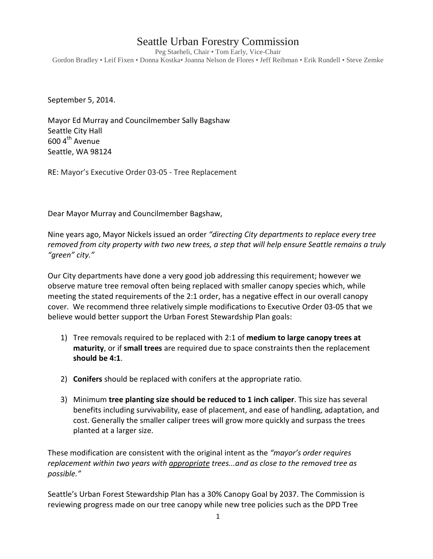## Seattle Urban Forestry Commission

Peg Staeheli, Chair • Tom Early, Vice-Chair Gordon Bradley • Leif Fixen • Donna Kostka• Joanna Nelson de Flores • Jeff Reibman • Erik Rundell • Steve Zemke

September 5, 2014.

Mayor Ed Murray and Councilmember Sally Bagshaw Seattle City Hall  $600 4$ <sup>th</sup> Avenue Seattle, WA 98124

RE: Mayor's Executive Order 03-05 - Tree Replacement

Dear Mayor Murray and Councilmember Bagshaw,

Nine years ago, Mayor Nickels issued an order *"directing City departments to replace every tree removed from city property with two new trees, a step that will help ensure Seattle remains a truly "green" city."*

Our City departments have done a very good job addressing this requirement; however we observe mature tree removal often being replaced with smaller canopy species which, while meeting the stated requirements of the 2:1 order, has a negative effect in our overall canopy cover. We recommend three relatively simple modifications to Executive Order 03-05 that we believe would better support the Urban Forest Stewardship Plan goals:

- 1) Tree removals required to be replaced with 2:1 of **medium to large canopy trees at maturity**, or if **small trees** are required due to space constraints then the replacement **should be 4:1**.
- 2) **Conifers** should be replaced with conifers at the appropriate ratio.
- 3) Minimum **tree planting size should be reduced to 1 inch caliper**. This size has several benefits including survivability, ease of placement, and ease of handling, adaptation, and cost. Generally the smaller caliper trees will grow more quickly and surpass the trees planted at a larger size.

These modification are consistent with the original intent as the *"mayor's order requires replacement within two years with appropriate trees...and as close to the removed tree as possible."*

Seattle's Urban Forest Stewardship Plan has a 30% Canopy Goal by 2037. The Commission is reviewing progress made on our tree canopy while new tree policies such as the DPD Tree